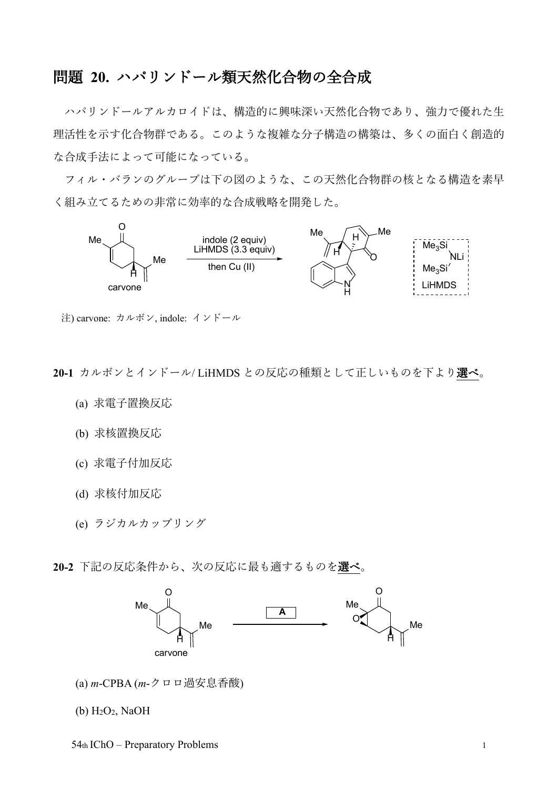## 問題 **20.** ハパリンドール類天然化合物の全合成

ハパリンドールアルカロイドは、構造的に興味深い天然化合物であり、強力で優れた生 理活性を示す化合物群である。このような複雑な分子構造の構築は、多くの面白く創造的 な合成手法によって可能になっている。

フィル・バランのグループは下の図のような、この天然化合物群の核となる構造を素早 く組み立てるための非常に効率的な合成戦略を開発した。



注) carvone: カルボン, indole: インドール

**20-1** カルボンとインドール/ LiHMDS との反応の種類として正しいものを下より選べ。

- (a) 求電子置換反応
- (b) 求核置換反応
- (c) 求電子付加反応
- (d) 求核付加反応
- (e) ラジカルカップリング

**20-2** 下記の反応条件から、次の反応に最も適するものを選べ。



(a) *m*-CPBA (*m*-クロロ過安息香酸)

 $(b)$  H<sub>2</sub>O<sub>2</sub>, NaOH

54th IChO – Preparatory Problems 1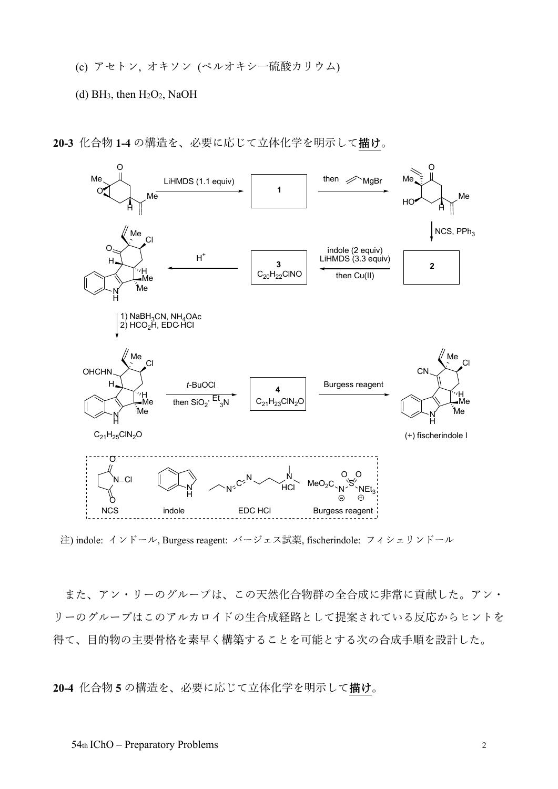- (c) アセトン, オキソン (ペルオキシ一硫酸カリウム)
- (d) BH<sub>3</sub>, then  $H_2O_2$ , NaOH
- **20-3** 化合物 **1-4** の構造を、必要に応じて立体化学を明示して描け。



注) indole: インドール, Burgess reagent: バージェス試薬, fischerindole: フィシェリンドール

また、アン・リーのグループは、この天然化合物群の全合成に非常に貢献した。アン・ リーのグループはこのアルカロイドの生合成経路として提案されている反応からヒントを 得て、目的物の主要骨格を素早く構築することを可能とする次の合成手順を設計した。

**20-4** 化合物 **5** の構造を、必要に応じて立体化学を明示して描け。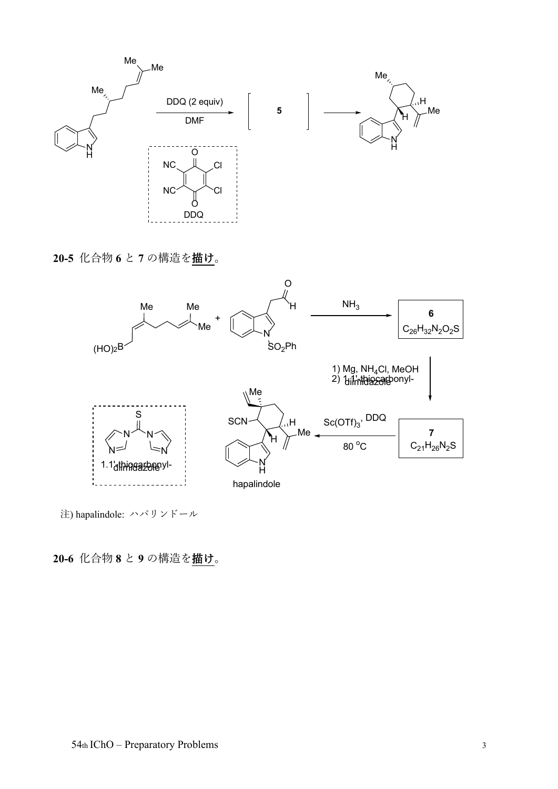

**20-5** 化合物 **6** と **7** の構造を描け。



注) hapalindole: ハパリンドール

**20-6** 化合物 **8** と **9** の構造を描け。